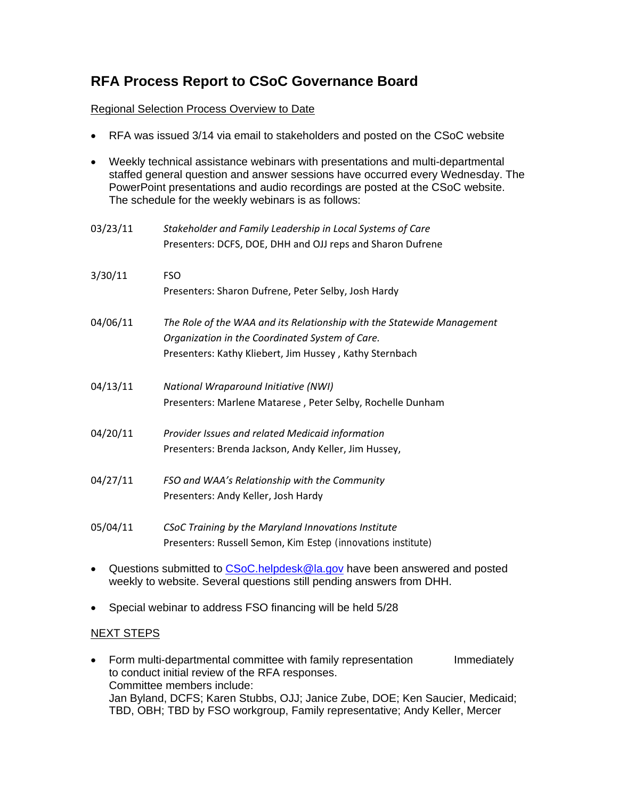## **RFA Process Report to CSoC Governance Board**

## Regional Selection Process Overview to Date

• RFA was issued 3/14 via email to stakeholders and posted on the CSoC website

| $\bullet$ | Weekly technical assistance webinars with presentations and multi-departmental  |
|-----------|---------------------------------------------------------------------------------|
|           |                                                                                 |
|           | staffed general question and answer sessions have occurred every Wednesday. The |
|           | PowerPoint presentations and audio recordings are posted at the CSoC website.   |
|           | The schedule for the weekly webinars is as follows:                             |
|           |                                                                                 |

| 03/23/11 | Stakeholder and Family Leadership in Local Systems of Care<br>Presenters: DCFS, DOE, DHH and OJJ reps and Sharon Dufrene                                                             |
|----------|--------------------------------------------------------------------------------------------------------------------------------------------------------------------------------------|
| 3/30/11  | <b>FSO</b><br>Presenters: Sharon Dufrene, Peter Selby, Josh Hardy                                                                                                                    |
| 04/06/11 | The Role of the WAA and its Relationship with the Statewide Management<br>Organization in the Coordinated System of Care.<br>Presenters: Kathy Kliebert, Jim Hussey, Kathy Sternbach |
| 04/13/11 | National Wraparound Initiative (NWI)<br>Presenters: Marlene Matarese, Peter Selby, Rochelle Dunham                                                                                   |
| 04/20/11 | Provider Issues and related Medicaid information<br>Presenters: Brenda Jackson, Andy Keller, Jim Hussey,                                                                             |
| 04/27/11 | FSO and WAA's Relationship with the Community<br>Presenters: Andy Keller, Josh Hardy                                                                                                 |
| 05/04/11 | CSoC Training by the Maryland Innovations Institute<br>Presenters: Russell Semon, Kim Estep (innovations institute)                                                                  |

- Questions submitted to [CSoC.helpdesk@la.gov](mailto:CSoC.helpdesk@la.gov) have been answered and posted weekly to website. Several questions still pending answers from DHH.
- Special webinar to address FSO financing will be held 5/28

## NEXT STEPS

• Form multi-departmental committee with family representation Immediately to conduct initial review of the RFA responses. Committee members include: Jan Byland, DCFS; Karen Stubbs, OJJ; Janice Zube, DOE; Ken Saucier, Medicaid; TBD, OBH; TBD by FSO workgroup, Family representative; Andy Keller, Mercer